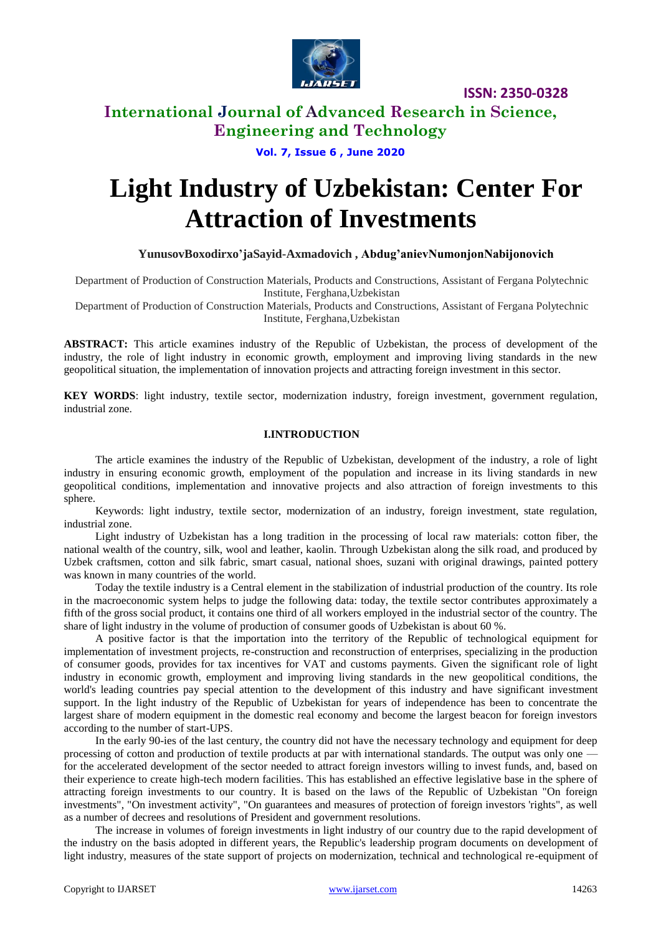

**ISSN: 2350-0328**

## **International Journal of Advanced Research in Science, Engineering and Technology**

**Vol. 7, Issue 6 , June 2020**

# **Light Industry of Uzbekistan: Center For Attraction of Investments**

### **YunusovBoxodirxo'jaSayid-Axmadovich , Abdug'anievNumonjonNabijonovich**

Department of Production of Construction Materials, Products and Constructions, Assistant of Fergana Polytechnic Institute, Ferghana,Uzbekistan

Department of Production of Construction Materials, Products and Constructions, Assistant of Fergana Polytechnic Institute, Ferghana,Uzbekistan

**ABSTRACT:** This article examines industry of the Republic of Uzbekistan, the process of development of the industry, the role of light industry in economic growth, employment and improving living standards in the new geopolitical situation, the implementation of innovation projects and attracting foreign investment in this sector.

**KEY WORDS**: light industry, textile sector, modernization industry, foreign investment, government regulation, industrial zone.

### **I.INTRODUCTION**

The article examines the industry of the Republic of Uzbekistan, development of the industry, a role of light industry in ensuring economic growth, employment of the population and increase in its living standards in new geopolitical conditions, implementation and innovative projects and also attraction of foreign investments to this sphere.

Keywords: light industry, textile sector, modernization of an industry, foreign investment, state regulation, industrial zone.

Light industry of Uzbekistan has a long tradition in the processing of local raw materials: cotton fiber, the national wealth of the country, silk, wool and leather, kaolin. Through Uzbekistan along the silk road, and produced by Uzbek craftsmen, cotton and silk fabric, smart casual, national shoes, suzani with original drawings, painted pottery was known in many countries of the world.

Today the textile industry is a Central element in the stabilization of industrial production of the country. Its role in the macroeconomic system helps to judge the following data: today, the textile sector contributes approximately a fifth of the gross social product, it contains one third of all workers employed in the industrial sector of the country. The share of light industry in the volume of production of consumer goods of Uzbekistan is about 60 %.

A positive factor is that the importation into the territory of the Republic of technological equipment for implementation of investment projects, re-construction and reconstruction of enterprises, specializing in the production of consumer goods, provides for tax incentives for VAT and customs payments. Given the significant role of light industry in economic growth, employment and improving living standards in the new geopolitical conditions, the world's leading countries pay special attention to the development of this industry and have significant investment support. In the light industry of the Republic of Uzbekistan for years of independence has been to concentrate the largest share of modern equipment in the domestic real economy and become the largest beacon for foreign investors according to the number of start-UPS.

In the early 90-ies of the last century, the country did not have the necessary technology and equipment for deep processing of cotton and production of textile products at par with international standards. The output was only one for the accelerated development of the sector needed to attract foreign investors willing to invest funds, and, based on their experience to create high-tech modern facilities. This has established an effective legislative base in the sphere of attracting foreign investments to our country. It is based on the laws of the Republic of Uzbekistan "On foreign investments", "On investment activity", "On guarantees and measures of protection of foreign investors 'rights", as well as a number of decrees and resolutions of President and government resolutions.

The increase in volumes of foreign investments in light industry of our country due to the rapid development of the industry on the basis adopted in different years, the Republic's leadership program documents on development of light industry, measures of the state support of projects on modernization, technical and technological re-equipment of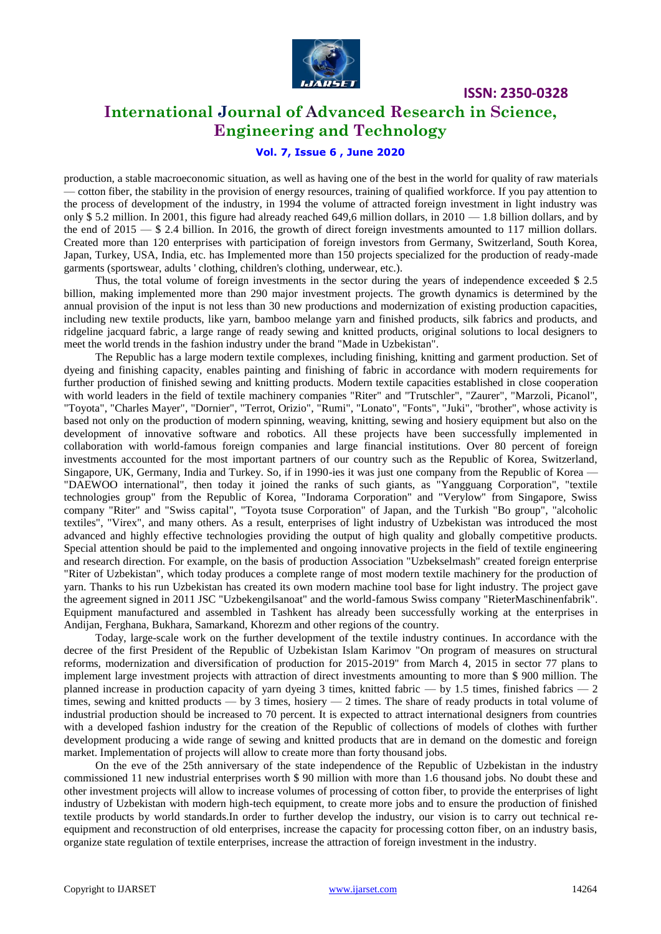

**ISSN: 2350-0328**

## **International Journal of Advanced Research in Science, Engineering and Technology**

## **Vol. 7, Issue 6 , June 2020**

production, a stable macroeconomic situation, as well as having one of the best in the world for quality of raw materials — cotton fiber, the stability in the provision of energy resources, training of qualified workforce. If you pay attention to the process of development of the industry, in 1994 the volume of attracted foreign investment in light industry was only \$5.2 million. In 2001, this figure had already reached 649,6 million dollars, in  $2010 - 1.8$  billion dollars, and by the end of  $2015 - $2.4$  billion. In 2016, the growth of direct foreign investments amounted to 117 million dollars. Created more than 120 enterprises with participation of foreign investors from Germany, Switzerland, South Korea, Japan, Turkey, USA, India, etc. has Implemented more than 150 projects specialized for the production of ready-made garments (sportswear, adults ' clothing, children's clothing, underwear, etc.).

Thus, the total volume of foreign investments in the sector during the years of independence exceeded \$ 2.5 billion, making implemented more than 290 major investment projects. The growth dynamics is determined by the annual provision of the input is not less than 30 new productions and modernization of existing production capacities, including new textile products, like yarn, bamboo melange yarn and finished products, silk fabrics and products, and ridgeline jacquard fabric, a large range of ready sewing and knitted products, original solutions to local designers to meet the world trends in the fashion industry under the brand "Made in Uzbekistan".

The Republic has a large modern textile complexes, including finishing, knitting and garment production. Set of dyeing and finishing capacity, enables painting and finishing of fabric in accordance with modern requirements for further production of finished sewing and knitting products. Modern textile capacities established in close cooperation with world leaders in the field of textile machinery companies "Riter" and "Trutschler", "Zaurer", "Marzoli, Picanol", "Toyota", "Charles Mayer", "Dornier", "Terrot, Orizio", "Rumi", "Lonato", "Fonts", "Juki", "brother", whose activity is based not only on the production of modern spinning, weaving, knitting, sewing and hosiery equipment but also on the development of innovative software and robotics. All these projects have been successfully implemented in collaboration with world-famous foreign companies and large financial institutions. Over 80 percent of foreign investments accounted for the most important partners of our country such as the Republic of Korea, Switzerland, Singapore, UK, Germany, India and Turkey. So, if in 1990-ies it was just one company from the Republic of Korea -"DAEWOO international", then today it joined the ranks of such giants, as "Yangguang Corporation", "textile technologies group" from the Republic of Korea, "Indorama Corporation" and "Verylow" from Singapore, Swiss company "Riter" and "Swiss capital", "Toyota tsuse Corporation" of Japan, and the Turkish "Bo group", "alcoholic textiles", "Virex", and many others. As a result, enterprises of light industry of Uzbekistan was introduced the most advanced and highly effective technologies providing the output of high quality and globally competitive products. Special attention should be paid to the implemented and ongoing innovative projects in the field of textile engineering and research direction. For example, on the basis of production Association "Uzbekselmash" created foreign enterprise "Riter of Uzbekistan", which today produces a complete range of most modern textile machinery for the production of yarn. Thanks to his run Uzbekistan has created its own modern machine tool base for light industry. The project gave the agreement signed in 2011 JSC "Uzbekengilsanoat" and the world-famous Swiss company "RieterMaschinenfabrik". Equipment manufactured and assembled in Tashkent has already been successfully working at the enterprises in Andijan, Ferghana, Bukhara, Samarkand, Khorezm and other regions of the country.

Today, large-scale work on the further development of the textile industry continues. In accordance with the decree of the first President of the Republic of Uzbekistan Islam Karimov "On program of measures on structural reforms, modernization and diversification of production for 2015-2019" from March 4, 2015 in sector 77 plans to implement large investment projects with attraction of direct investments amounting to more than \$ 900 million. The planned increase in production capacity of yarn dyeing 3 times, knitted fabric — by 1.5 times, finished fabrics — 2 times, sewing and knitted products — by 3 times, hosiery — 2 times. The share of ready products in total volume of industrial production should be increased to 70 percent. It is expected to attract international designers from countries with a developed fashion industry for the creation of the Republic of collections of models of clothes with further development producing a wide range of sewing and knitted products that are in demand on the domestic and foreign market. Implementation of projects will allow to create more than forty thousand jobs.

On the eve of the 25th anniversary of the state independence of the Republic of Uzbekistan in the industry commissioned 11 new industrial enterprises worth \$ 90 million with more than 1.6 thousand jobs. No doubt these and other investment projects will allow to increase volumes of processing of cotton fiber, to provide the enterprises of light industry of Uzbekistan with modern high-tech equipment, to create more jobs and to ensure the production of finished textile products by world standards.In order to further develop the industry, our vision is to carry out technical reequipment and reconstruction of old enterprises, increase the capacity for processing cotton fiber, on an industry basis, organize state regulation of textile enterprises, increase the attraction of foreign investment in the industry.